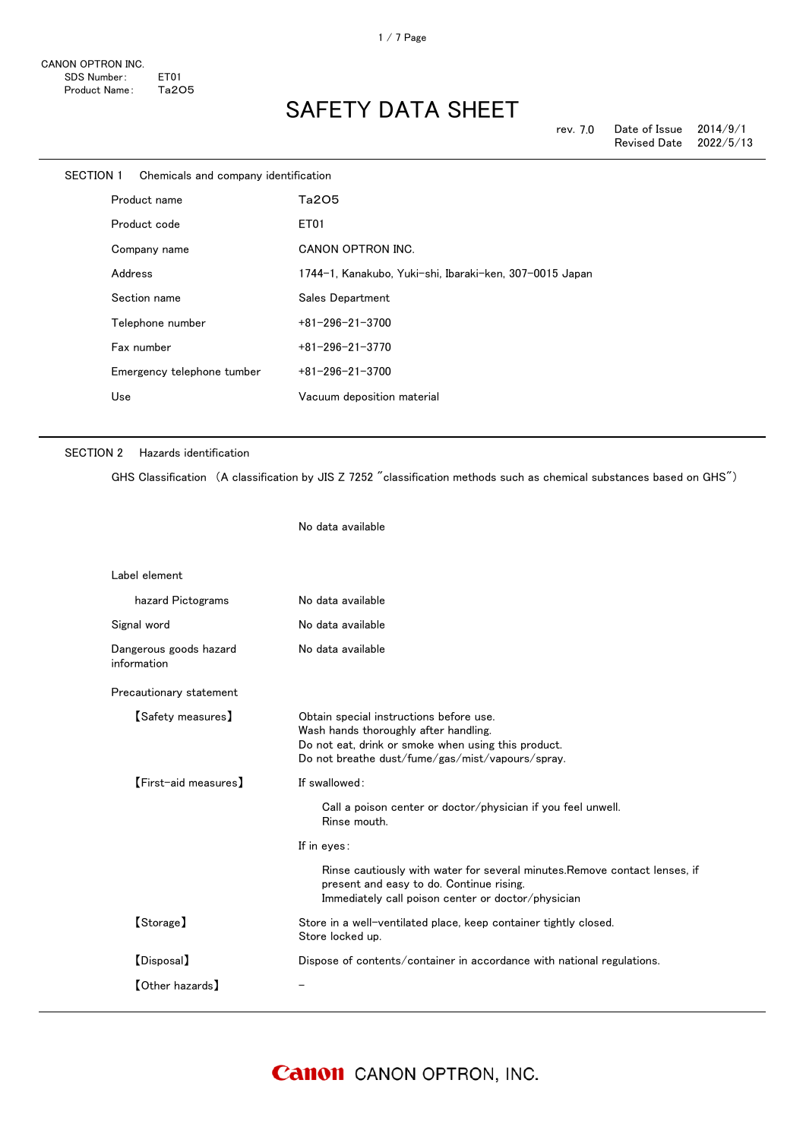| <b>SECTION 1</b> |              | Chemicals and company identification |                                                         |
|------------------|--------------|--------------------------------------|---------------------------------------------------------|
|                  | Product name |                                      | Ta205                                                   |
|                  |              | Product code                         | ET <sub>01</sub>                                        |
|                  |              | Company name                         | CANON OPTRON INC.                                       |
|                  | Address      |                                      | 1744-1, Kanakubo, Yuki-shi, Ibaraki-ken, 307-0015 Japan |
|                  |              | Section name                         | Sales Department                                        |
|                  |              | Telephone number                     | $+81 - 296 - 21 - 3700$                                 |
|                  |              | Fax number                           | $+81 - 296 - 21 - 3770$                                 |
|                  |              | Emergency telephone tumber           | $+81 - 296 - 21 - 3700$                                 |
|                  | Use          |                                      | Vacuum deposition material                              |
|                  |              |                                      |                                                         |

## SECTION 2 Hazards identification

GHS Classification (A classification by JIS Z 7252 "classification methods such as chemical substances based on GHS")

No data available Label element hazard Pictograms No data available Signal word **No data available** Dangerous goods hazard information No data available Precautionary statement 【Safety measures】 Obtain special instructions before use. Wash hands thoroughly after handling. Do not eat, drink or smoke when using this product. Do not breathe dust/fume/gas/mist/vapours/spray. 【First-aid measures】 If swallowed: Call a poison center or doctor/physician if you feel unwell. Rinse mouth. If in eyes: Rinse cautiously with water for several minutes.Remove contact lenses, if present and easy to do. Continue rising. Immediately call poison center or doctor/physician 【Storage】 Store in a well-ventilated place, keep container tightly closed. Store locked up. 【Disposal】 Dispose of contents/container in accordance with national regulations. 【Other hazards】 -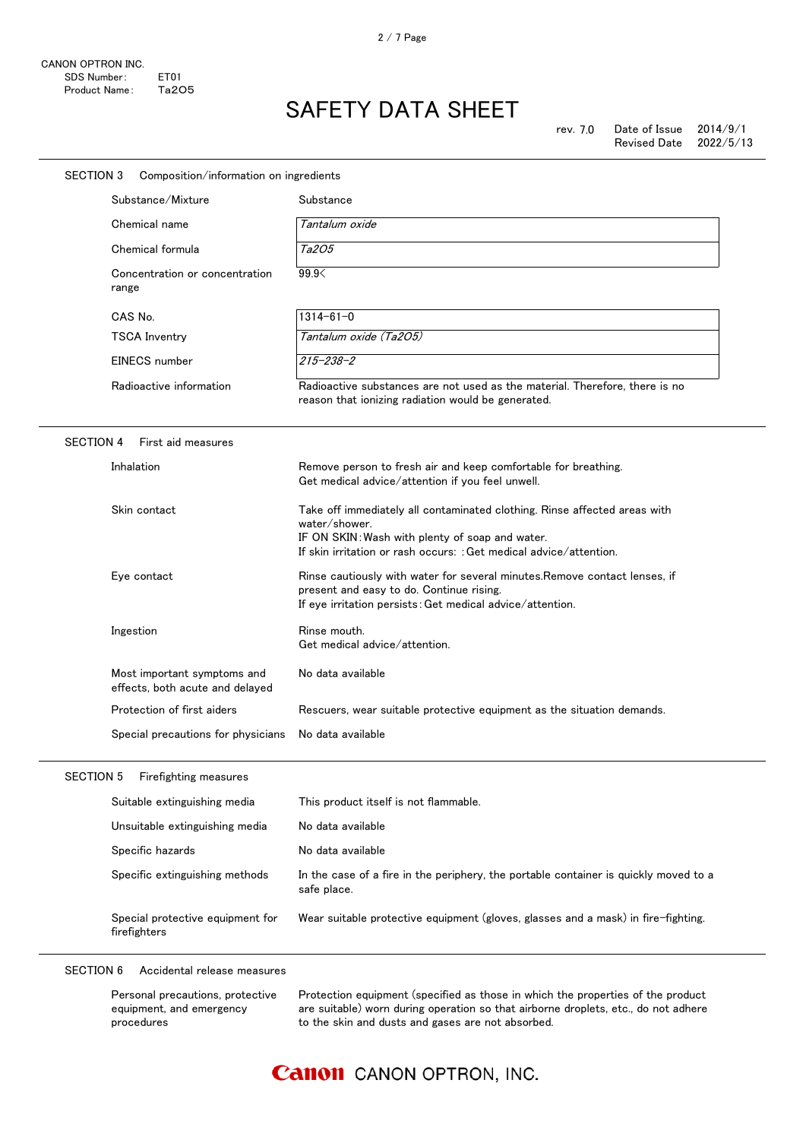|                  | Substance/Mixture                                              | Substance                                                                                                                                                                                                           |
|------------------|----------------------------------------------------------------|---------------------------------------------------------------------------------------------------------------------------------------------------------------------------------------------------------------------|
|                  | Chemical name                                                  | Tantalum oxide                                                                                                                                                                                                      |
|                  | Chemical formula                                               | Ta205                                                                                                                                                                                                               |
|                  | Concentration or concentration<br>range                        | 99.9                                                                                                                                                                                                                |
|                  | CAS No.                                                        | $1314 - 61 - 0$                                                                                                                                                                                                     |
|                  | <b>TSCA Inventry</b>                                           | Tantalum oxide (Ta2O5)                                                                                                                                                                                              |
|                  | EINECS number                                                  | $215 - 238 - 2$                                                                                                                                                                                                     |
|                  | Radioactive information                                        | Radioactive substances are not used as the material. Therefore, there is no<br>reason that ionizing radiation would be generated.                                                                                   |
| <b>SECTION 4</b> | First aid measures                                             |                                                                                                                                                                                                                     |
|                  | Inhalation                                                     | Remove person to fresh air and keep comfortable for breathing.<br>Get medical advice/attention if you feel unwell.                                                                                                  |
|                  | Skin contact                                                   | Take off immediately all contaminated clothing. Rinse affected areas with<br>water/shower.<br>IF ON SKIN: Wash with plenty of soap and water.<br>If skin irritation or rash occurs: : Get medical advice/attention. |
|                  | Eye contact                                                    | Rinse cautiously with water for several minutes. Remove contact lenses, if<br>present and easy to do. Continue rising.<br>If eye irritation persists: Get medical advice/attention.                                 |
|                  | Ingestion                                                      | Rinse mouth.<br>Get medical advice/attention.                                                                                                                                                                       |
|                  | Most important symptoms and<br>effects, both acute and delayed | No data available                                                                                                                                                                                                   |
|                  | Protection of first aiders                                     | Rescuers, wear suitable protective equipment as the situation demands.                                                                                                                                              |
|                  | Special precautions for physicians                             | No data available                                                                                                                                                                                                   |
| <b>SECTION 5</b> | Firefighting measures                                          |                                                                                                                                                                                                                     |
|                  | Suitable extinguishing media                                   | This product itself is not flammable.                                                                                                                                                                               |
|                  | Unsuitable extinguishing media                                 | No data available                                                                                                                                                                                                   |
|                  | Specific hazards                                               | No data available                                                                                                                                                                                                   |
|                  | Specific extinguishing methods                                 | In the case of a fire in the periphery, the portable container is quickly moved to a<br>safe place.                                                                                                                 |
|                  | Special protective equipment for<br>firefighters               | Wear suitable protective equipment (gloves, glasses and a mask) in fire-fighting.                                                                                                                                   |

| Personal precautions, protective | Protection equipment (specified as those in which the properties of the product    |
|----------------------------------|------------------------------------------------------------------------------------|
| equipment, and emergency         | are suitable) worn during operation so that airborne droplets, etc., do not adhere |
| procedures                       | to the skin and dusts and gases are not absorbed.                                  |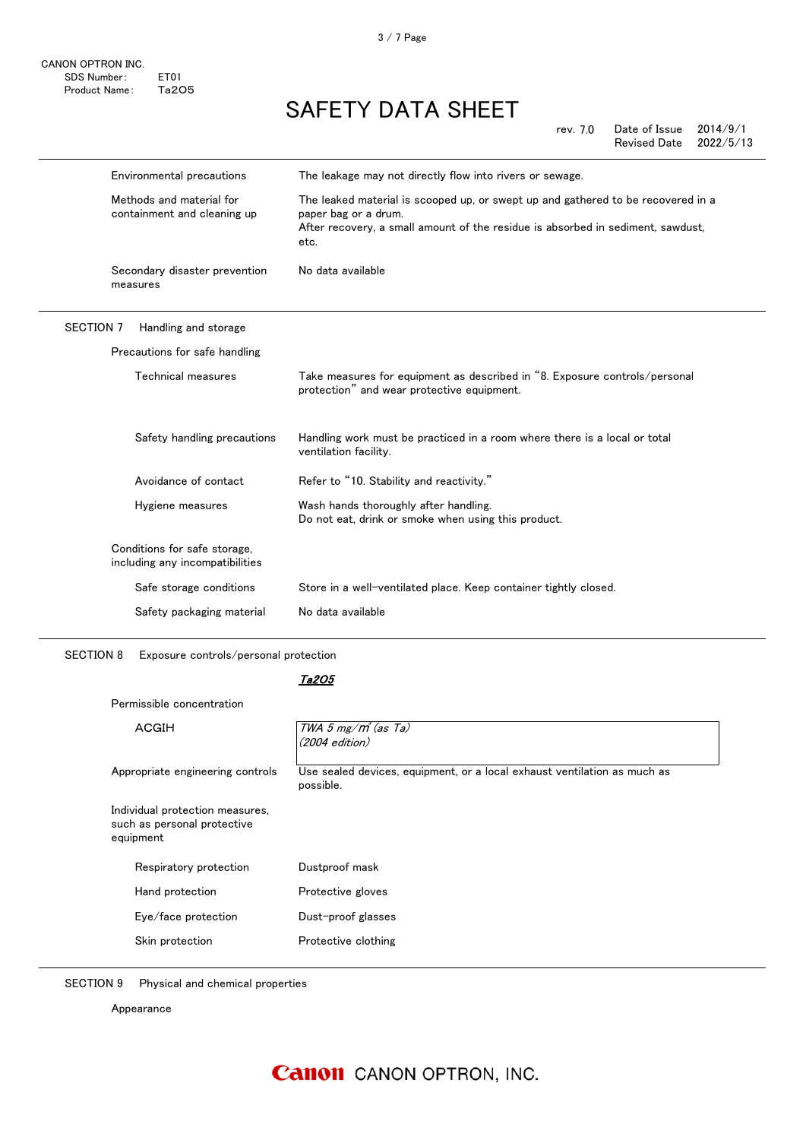3 / 7 Page

# SAFETY DATA SHEET

rev. 7.0 Date of Issue  $2014/9/1$ Revised Date 2022/5/13

| Environmental precautions                                       | The leakage may not directly flow into rivers or sewage.<br>The leaked material is scooped up, or swept up and gathered to be recovered in a<br>paper bag or a drum.<br>After recovery, a small amount of the residue is absorbed in sediment, sawdust,<br>etc. |
|-----------------------------------------------------------------|-----------------------------------------------------------------------------------------------------------------------------------------------------------------------------------------------------------------------------------------------------------------|
| Methods and material for<br>containment and cleaning up         |                                                                                                                                                                                                                                                                 |
| Secondary disaster prevention<br>measures                       | No data available                                                                                                                                                                                                                                               |
| <b>SECTION 7</b><br>Handling and storage                        |                                                                                                                                                                                                                                                                 |
| Precautions for safe handling                                   |                                                                                                                                                                                                                                                                 |
| Technical measures                                              | Take measures for equipment as described in "8. Exposure controls/personal<br>protection" and wear protective equipment.                                                                                                                                        |
| Safety handling precautions                                     | Handling work must be practiced in a room where there is a local or total<br>ventilation facility.                                                                                                                                                              |
| Avoidance of contact                                            | Refer to "10. Stability and reactivity."                                                                                                                                                                                                                        |
| Hygiene measures                                                | Wash hands thoroughly after handling.<br>Do not eat, drink or smoke when using this product.                                                                                                                                                                    |
| Conditions for safe storage,<br>including any incompatibilities |                                                                                                                                                                                                                                                                 |
|                                                                 |                                                                                                                                                                                                                                                                 |
| Safe storage conditions                                         | Store in a well-ventilated place. Keep container tightly closed.                                                                                                                                                                                                |
|                                                                 |                                                                                                                                                                                                                                                                 |

SECTION 8 Exposure controls/personal protection

## Ta2O5

| ACGIH                                                                       | TWA 5 mg/ $m^3$ (as Ta)<br>$(2004$ edition)                                           |
|-----------------------------------------------------------------------------|---------------------------------------------------------------------------------------|
| Appropriate engineering controls                                            | Use sealed devices, equipment, or a local exhaust ventilation as much as<br>possible. |
| Individual protection measures,<br>such as personal protective<br>equipment |                                                                                       |
| Respiratory protection                                                      | Dustproof mask                                                                        |
|                                                                             |                                                                                       |
| Hand protection                                                             | Protective gloves                                                                     |
| Eye/face protection                                                         | Dust-proof glasses                                                                    |

SECTION 9 Physical and chemical properties

Appearance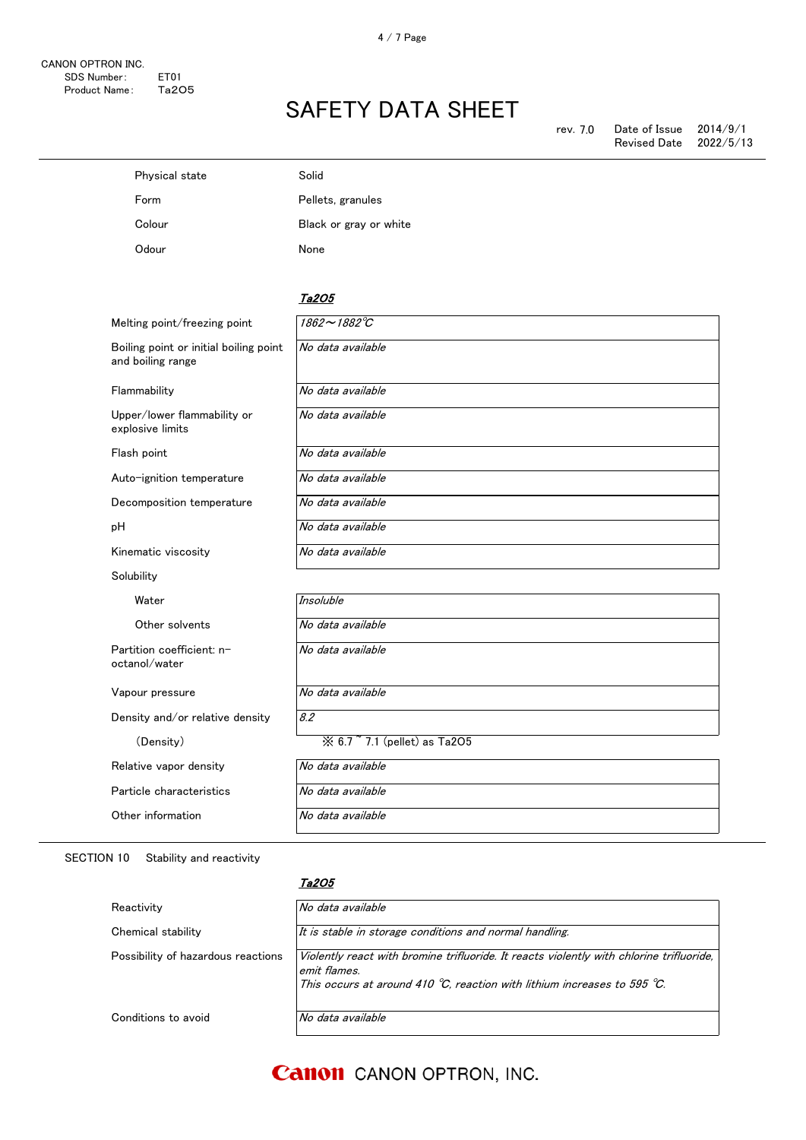| Solid                  |
|------------------------|
| Pellets, granules      |
| Black or gray or white |
| None                   |
|                        |

## Ta2O5

| Melting point/freezing point                                | 1862~1882°C                                       |
|-------------------------------------------------------------|---------------------------------------------------|
| Boiling point or initial boiling point<br>and boiling range | No data available                                 |
| Flammability                                                | No data available                                 |
| Upper/lower flammability or<br>explosive limits             | No data available                                 |
| Flash point                                                 | No data available                                 |
| Auto-ignition temperature                                   | No data available                                 |
| Decomposition temperature                                   | No data available                                 |
| pH                                                          | No data available                                 |
| Kinematic viscosity                                         | No data available                                 |
| Solubility                                                  |                                                   |
| Water                                                       | <b>Insoluble</b>                                  |
| Other solvents                                              | No data available                                 |
| Partition coefficient: n-<br>octanol/water                  | No data available                                 |
| Vapour pressure                                             | No data available                                 |
| Density and/or relative density                             | 8.2                                               |
| (Density)                                                   | $\frac{1}{2}$ 6.7 $\degree$ 7.1 (pellet) as Ta2O5 |
| Relative vapor density                                      | No data available                                 |
| Particle characteristics                                    | No data available                                 |
| Other information                                           | No data available                                 |

## SECTION 10 Stability and reactivity

#### Ta2O5

| Reactivity                         | No data available                                                                                                                                                                    |
|------------------------------------|--------------------------------------------------------------------------------------------------------------------------------------------------------------------------------------|
| Chemical stability                 | It is stable in storage conditions and normal handling.                                                                                                                              |
| Possibility of hazardous reactions | Violently react with bromine trifluoride. It reacts violently with chlorine trifluoride,<br>emit flames.<br>This occurs at around 410 °C, reaction with lithium increases to 595 °C. |
| Conditions to avoid                | No data available                                                                                                                                                                    |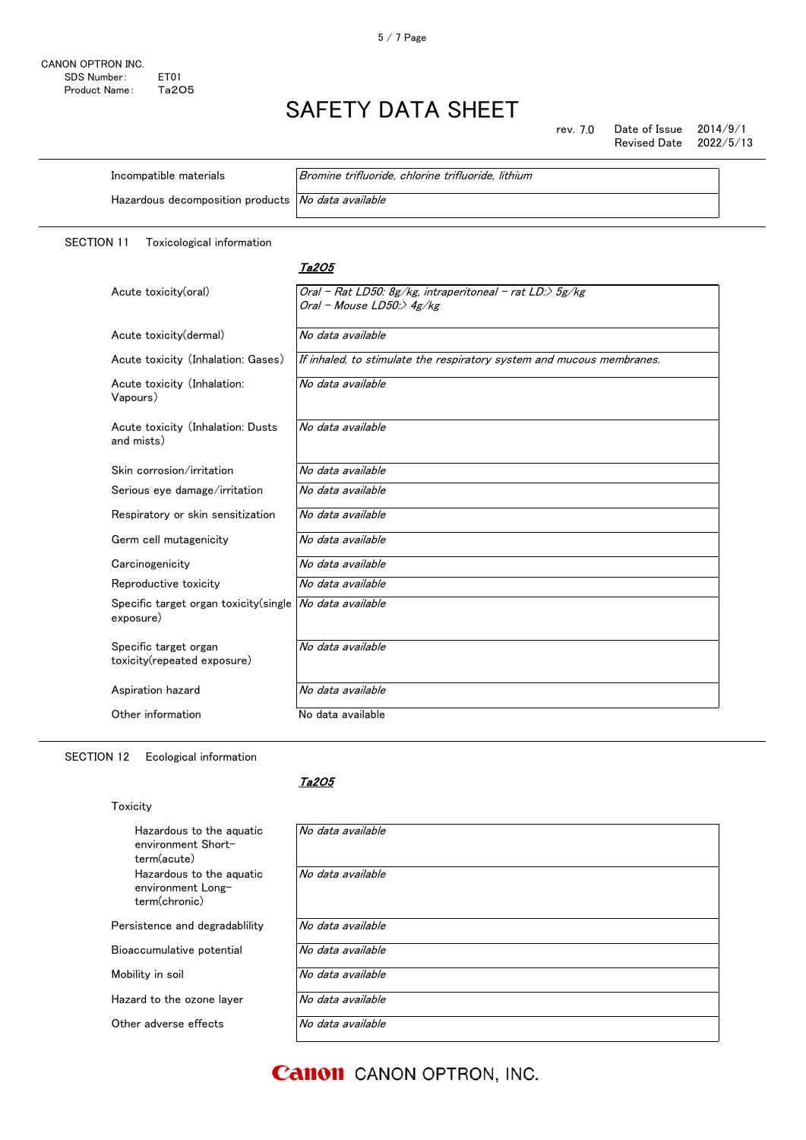rev. 7.0 Date of Issue 2014/9/1<br>Revised Date 2022/5/13 Revised Date

| Incompatible materials                             | Bromine trifluoride, chlorine trifluoride, lithium |  |
|----------------------------------------------------|----------------------------------------------------|--|
| Hazardous decomposition products No data available |                                                    |  |
|                                                    |                                                    |  |

SECTION 11 Toxicological information

### Ta2O5

| Acute toxicity(oral)                                                   | Oral - Rat LD50: 8g/kg, intraperitoneal - rat LD:> 5g/kg<br>Oral - Mouse LD50:> $4g/kg$ |
|------------------------------------------------------------------------|-----------------------------------------------------------------------------------------|
| Acute toxicity (dermal)                                                | No data available                                                                       |
| Acute toxicity (Inhalation: Gases)                                     | If inhaled, to stimulate the respiratory system and mucous membranes.                   |
| Acute toxicity (Inhalation:<br>Vapours)                                | No data available                                                                       |
| Acute toxicity (Inhalation: Dusts<br>and mists)                        | No data available                                                                       |
| Skin corrosion/irritation                                              | No data available                                                                       |
| Serious eye damage/irritation                                          | No data available                                                                       |
| Respiratory or skin sensitization                                      | No data available                                                                       |
| Germ cell mutagenicity                                                 | No data available                                                                       |
| Carcinogenicity                                                        | No data available                                                                       |
| Reproductive toxicity                                                  | No data available                                                                       |
| Specific target organ toxicity(single   No data available<br>exposure) |                                                                                         |
| Specific target organ<br>toxicity(repeated exposure)                   | No data available                                                                       |
| Aspiration hazard                                                      | No data available                                                                       |
| Other information                                                      | No data available                                                                       |

## SECTION 12 Ecological information

Hazardous to the aqu environment Shortterm(acute) Hazardous to the aqu environment Longterm(chronic) Persistence and degradal Bioaccumulative potentia

Mobility in soil

Hazard to the ozone laye

Other adverse effects

## Ta2O5

| uatic   | No data available |
|---------|-------------------|
| uatic   | No data available |
| olility | No data available |
| L       | No data available |
|         | No data available |
| r       | No data available |
|         | No data available |
|         |                   |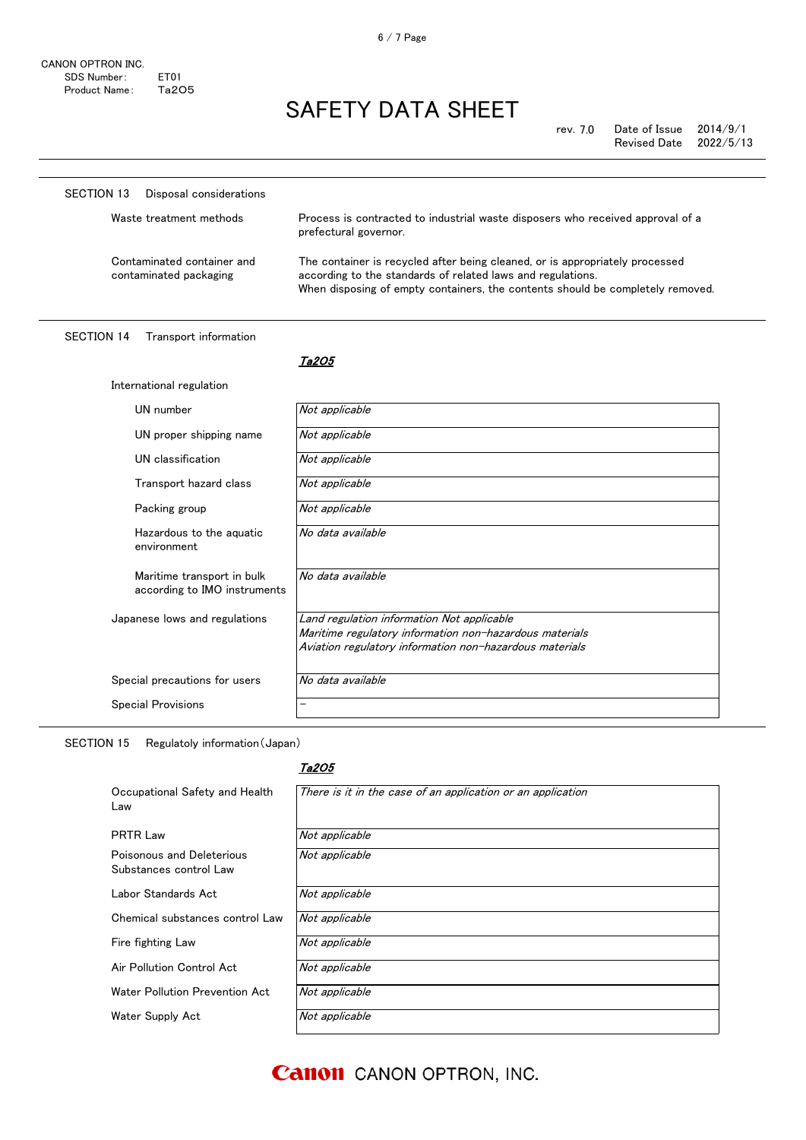| <b>SECTION 13</b><br>Disposal considerations               |                                                                                                                                                                                                                               |
|------------------------------------------------------------|-------------------------------------------------------------------------------------------------------------------------------------------------------------------------------------------------------------------------------|
| Waste treatment methods                                    | Process is contracted to industrial waste disposers who received approval of a<br>prefectural governor.                                                                                                                       |
| Contaminated container and<br>contaminated packaging       | The container is recycled after being cleaned, or is appropriately processed<br>according to the standards of related laws and regulations.<br>When disposing of empty containers, the contents should be completely removed. |
| <b>SECTION 14</b><br>Transport information                 |                                                                                                                                                                                                                               |
|                                                            | Ta205                                                                                                                                                                                                                         |
| International regulation                                   |                                                                                                                                                                                                                               |
| UN number                                                  | Not applicable                                                                                                                                                                                                                |
| UN proper shipping name                                    | Not applicable                                                                                                                                                                                                                |
| UN classification                                          | Not applicable                                                                                                                                                                                                                |
| Transport hazard class                                     | Not applicable                                                                                                                                                                                                                |
| Packing group                                              | Not applicable                                                                                                                                                                                                                |
| Hazardous to the aquatic<br>environment                    | No data available                                                                                                                                                                                                             |
| Maritime transport in bulk<br>according to IMO instruments | No data available                                                                                                                                                                                                             |
| Japanese lows and regulations                              | Land regulation information Not applicable<br>Maritime regulatory information non-hazardous materials<br>Aviation regulatory information non-hazardous materials                                                              |
| Special precautions for users                              | No data available                                                                                                                                                                                                             |
| <b>Special Provisions</b>                                  | $\overline{\phantom{0}}$                                                                                                                                                                                                      |

SECTION 15 Regulatoly information(Japan)

## Ta2O5

| Occupational Safety and Health<br>Law               | There is it in the case of an application or an application |
|-----------------------------------------------------|-------------------------------------------------------------|
| <b>PRTR Law</b>                                     | Not applicable                                              |
| Poisonous and Deleterious<br>Substances control Law | Not applicable                                              |
| Labor Standards Act                                 | Not applicable                                              |
| Chemical substances control Law                     | Not applicable                                              |
| Fire fighting Law                                   | Not applicable                                              |
| Air Pollution Control Act                           | Not applicable                                              |
| Water Pollution Prevention Act                      | Not applicable                                              |
| Water Supply Act                                    | Not applicable                                              |